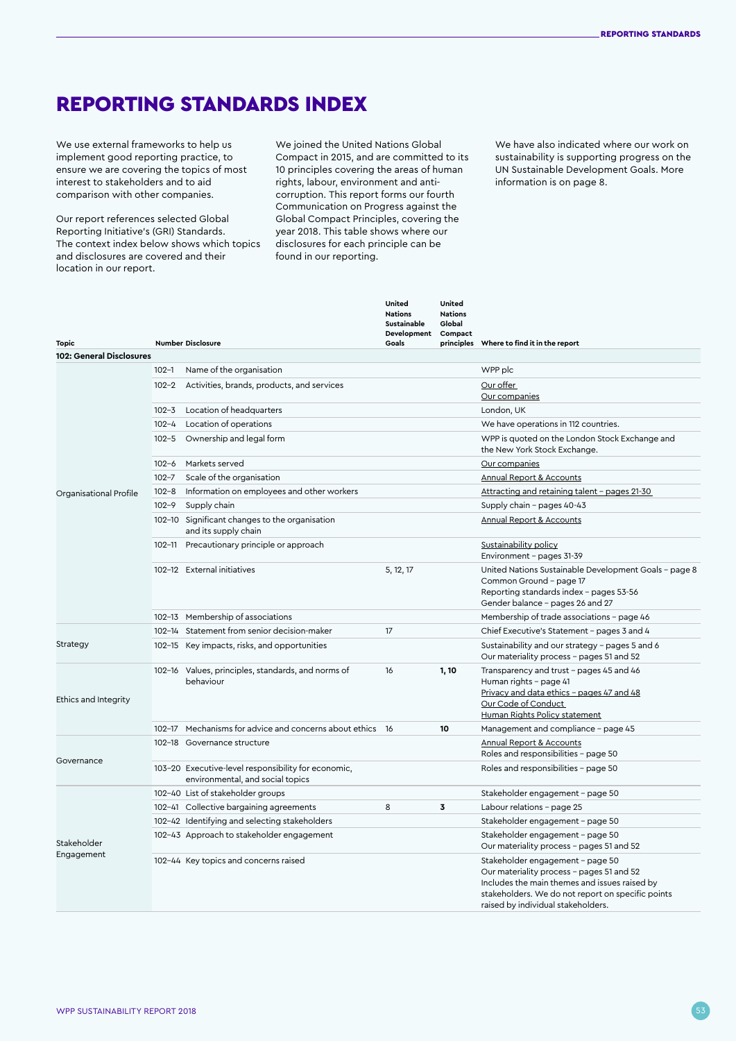## REPORTING STANDARDS INDEX

We use external frameworks to help us implement good reporting practice, to ensure we are covering the topics of most interest to stakeholders and to aid comparison with other companies.

Our report references selected Global Reporting Initiative's (GRI) Standards. The context index below shows which topics and disclosures are covered and their location in our report.

We joined the United Nations Global Compact in 2015, and are committed to its 10 principles covering the areas of human rights, labour, environment and anticorruption. This report forms our fourth Communication on Progress against the Global Compact Principles, covering the year 2018. This table shows where our disclosures for each principle can be found in our reporting.

We have also indicated where our work on sustainability is supporting progress on the UN Sustainable Development Goals. More information is on page 8.

|                                 |           |                                                                                         | United<br><b>Nations</b><br>Sustainable | United<br><b>Nations</b><br>Global |                                                                                                                                                                                                                           |
|---------------------------------|-----------|-----------------------------------------------------------------------------------------|-----------------------------------------|------------------------------------|---------------------------------------------------------------------------------------------------------------------------------------------------------------------------------------------------------------------------|
| <b>Topic</b>                    |           | <b>Number Disclosure</b>                                                                | Development<br>Goals                    | Compact                            | principles Where to find it in the report                                                                                                                                                                                 |
| <b>102: General Disclosures</b> |           |                                                                                         |                                         |                                    |                                                                                                                                                                                                                           |
|                                 | $102 - 1$ | Name of the organisation                                                                |                                         |                                    | WPP plc                                                                                                                                                                                                                   |
|                                 | $102 - 2$ | Activities, brands, products, and services                                              |                                         |                                    | Our offer<br>Our companies                                                                                                                                                                                                |
|                                 |           | 102-3 Location of headquarters                                                          |                                         |                                    | London, UK                                                                                                                                                                                                                |
|                                 |           | 102-4 Location of operations                                                            |                                         |                                    | We have operations in 112 countries.                                                                                                                                                                                      |
|                                 |           | 102-5 Ownership and legal form                                                          |                                         |                                    | WPP is quoted on the London Stock Exchange and<br>the New York Stock Exchange.                                                                                                                                            |
|                                 | $102 - 6$ | Markets served                                                                          |                                         |                                    | Our companies                                                                                                                                                                                                             |
|                                 | $102 - 7$ | Scale of the organisation                                                               |                                         |                                    | Annual Report & Accounts                                                                                                                                                                                                  |
| Organisational Profile          |           | 102-8 Information on employees and other workers                                        |                                         |                                    | Attracting and retaining talent - pages 21-30                                                                                                                                                                             |
|                                 |           | 102-9 Supply chain                                                                      |                                         |                                    | Supply chain - pages 40-43                                                                                                                                                                                                |
|                                 |           | 102-10 Significant changes to the organisation<br>and its supply chain                  |                                         |                                    | Annual Report & Accounts                                                                                                                                                                                                  |
|                                 | 102-11    | Precautionary principle or approach                                                     |                                         |                                    | Sustainability policy<br>Environment - pages 31-39                                                                                                                                                                        |
|                                 |           | 102-12 External initiatives                                                             | 5, 12, 17                               |                                    | United Nations Sustainable Development Goals - page 8<br>Common Ground - page 17<br>Reporting standards index - pages 53-56<br>Gender balance - pages 26 and 27                                                           |
|                                 |           | 102-13 Membership of associations                                                       |                                         |                                    | Membership of trade associations - page 46                                                                                                                                                                                |
|                                 |           | 102-14 Statement from senior decision-maker                                             | 17                                      |                                    | Chief Executive's Statement - pages 3 and 4                                                                                                                                                                               |
| Strategy                        |           | 102-15 Key impacts, risks, and opportunities                                            |                                         |                                    | Sustainability and our strategy - pages 5 and 6<br>Our materiality process - pages 51 and 52                                                                                                                              |
| Ethics and Integrity            |           | 102-16 Values, principles, standards, and norms of<br>behaviour                         | 16                                      | 1, 10                              | Transparency and trust - pages 45 and 46<br>Human rights - page 41<br>Privacy and data ethics - pages 47 and 48<br>Our Code of Conduct<br>Human Rights Policy statement                                                   |
|                                 |           | 102-17 Mechanisms for advice and concerns about ethics 16                               |                                         | 10                                 | Management and compliance - page 45                                                                                                                                                                                       |
| Governance                      |           | 102-18 Governance structure                                                             |                                         |                                    | Annual Report & Accounts<br>Roles and responsibilities - page 50                                                                                                                                                          |
|                                 |           | 103-20 Executive-level responsibility for economic,<br>environmental, and social topics |                                         |                                    | Roles and responsibilities - page 50                                                                                                                                                                                      |
| Stakeholder<br>Engagement       |           | 102-40 List of stakeholder groups                                                       |                                         |                                    | Stakeholder engagement - page 50                                                                                                                                                                                          |
|                                 |           | 102-41 Collective bargaining agreements                                                 | 8                                       | 3                                  | Labour relations - page 25                                                                                                                                                                                                |
|                                 |           | 102-42 Identifying and selecting stakeholders                                           |                                         |                                    | Stakeholder engagement - page 50                                                                                                                                                                                          |
|                                 |           | 102-43 Approach to stakeholder engagement                                               |                                         |                                    | Stakeholder engagement - page 50<br>Our materiality process - pages 51 and 52                                                                                                                                             |
|                                 |           | 102-44 Key topics and concerns raised                                                   |                                         |                                    | Stakeholder engagement - page 50<br>Our materiality process - pages 51 and 52<br>Includes the main themes and issues raised by<br>stakeholders. We do not report on specific points<br>raised by individual stakeholders. |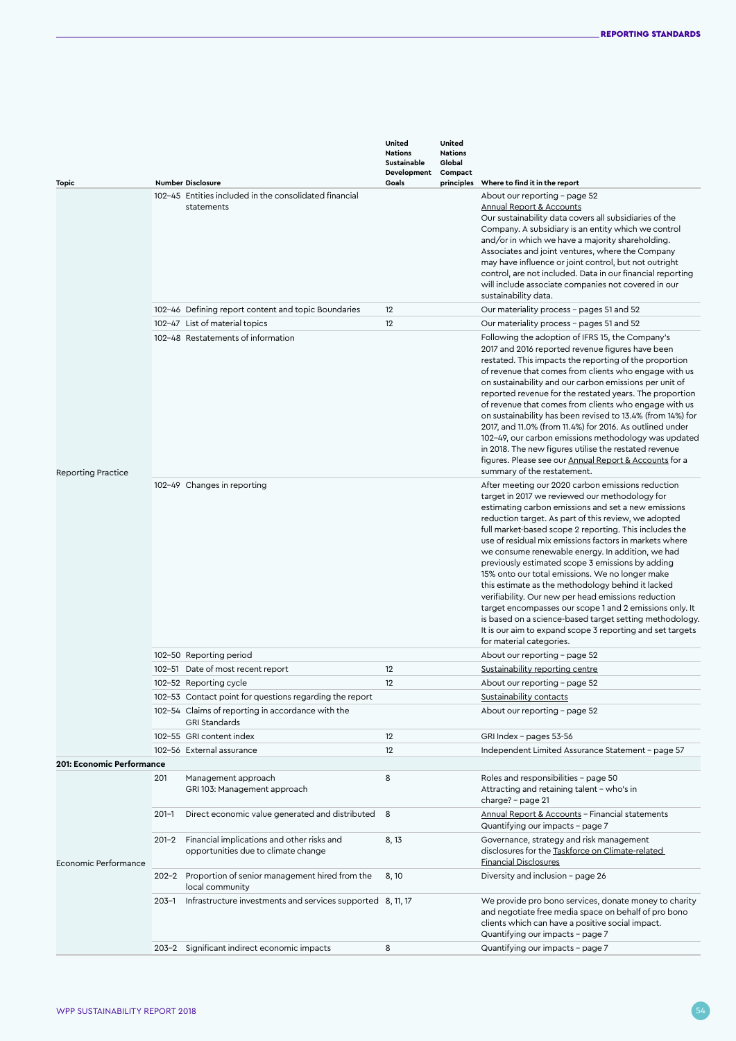|                           |           |                                                                                         | United<br><b>Nations</b><br>Sustainable<br>Development | United<br><b>Nations</b><br>Global<br>Compact |                                                                                                                                                                                                                                                                                                                                                                                                                                                                                                                                                                                                                                                                                                                                                                                                                                                                                                                                                                                                                                                                                                                                                                                                                                                                                                                                                                                                                                                                                                                                                                           |
|---------------------------|-----------|-----------------------------------------------------------------------------------------|--------------------------------------------------------|-----------------------------------------------|---------------------------------------------------------------------------------------------------------------------------------------------------------------------------------------------------------------------------------------------------------------------------------------------------------------------------------------------------------------------------------------------------------------------------------------------------------------------------------------------------------------------------------------------------------------------------------------------------------------------------------------------------------------------------------------------------------------------------------------------------------------------------------------------------------------------------------------------------------------------------------------------------------------------------------------------------------------------------------------------------------------------------------------------------------------------------------------------------------------------------------------------------------------------------------------------------------------------------------------------------------------------------------------------------------------------------------------------------------------------------------------------------------------------------------------------------------------------------------------------------------------------------------------------------------------------------|
| Topic                     |           | <b>Number Disclosure</b>                                                                | Goals                                                  |                                               | principles Where to find it in the report                                                                                                                                                                                                                                                                                                                                                                                                                                                                                                                                                                                                                                                                                                                                                                                                                                                                                                                                                                                                                                                                                                                                                                                                                                                                                                                                                                                                                                                                                                                                 |
|                           |           | 102-45 Entities included in the consolidated financial<br>statements                    |                                                        |                                               | About our reporting - page 52<br><b>Annual Report &amp; Accounts</b><br>Our sustainability data covers all subsidiaries of the<br>Company. A subsidiary is an entity which we control<br>and/or in which we have a majority shareholding.<br>Associates and joint ventures, where the Company<br>may have influence or joint control, but not outright<br>control, are not included. Data in our financial reporting<br>will include associate companies not covered in our<br>sustainability data.                                                                                                                                                                                                                                                                                                                                                                                                                                                                                                                                                                                                                                                                                                                                                                                                                                                                                                                                                                                                                                                                       |
|                           |           | 102-46 Defining report content and topic Boundaries                                     | 12                                                     |                                               | Our materiality process - pages 51 and 52                                                                                                                                                                                                                                                                                                                                                                                                                                                                                                                                                                                                                                                                                                                                                                                                                                                                                                                                                                                                                                                                                                                                                                                                                                                                                                                                                                                                                                                                                                                                 |
|                           |           | 102-47 List of material topics                                                          | 12                                                     |                                               | Our materiality process - pages 51 and 52                                                                                                                                                                                                                                                                                                                                                                                                                                                                                                                                                                                                                                                                                                                                                                                                                                                                                                                                                                                                                                                                                                                                                                                                                                                                                                                                                                                                                                                                                                                                 |
| <b>Reporting Practice</b> |           | 102-48 Restatements of information<br>102-49 Changes in reporting                       |                                                        |                                               | Following the adoption of IFRS 15, the Company's<br>2017 and 2016 reported revenue figures have been<br>restated. This impacts the reporting of the proportion<br>of revenue that comes from clients who engage with us<br>on sustainability and our carbon emissions per unit of<br>reported revenue for the restated years. The proportion<br>of revenue that comes from clients who engage with us<br>on sustainability has been revised to 13.4% (from 14%) for<br>2017, and 11.0% (from 11.4%) for 2016. As outlined under<br>102-49, our carbon emissions methodology was updated<br>in 2018. The new figures utilise the restated revenue<br>figures. Please see our Annual Report & Accounts for a<br>summary of the restatement.<br>After meeting our 2020 carbon emissions reduction<br>target in 2017 we reviewed our methodology for<br>estimating carbon emissions and set a new emissions<br>reduction target. As part of this review, we adopted<br>full market-based scope 2 reporting. This includes the<br>use of residual mix emissions factors in markets where<br>we consume renewable energy. In addition, we had<br>previously estimated scope 3 emissions by adding<br>15% onto our total emissions. We no longer make<br>this estimate as the methodology behind it lacked<br>verifiability. Our new per head emissions reduction<br>target encompasses our scope 1 and 2 emissions only. It<br>is based on a science-based target setting methodology.<br>It is our aim to expand scope 3 reporting and set targets<br>for material categories. |
|                           |           | 102-50 Reporting period                                                                 |                                                        |                                               | About our reporting - page 52                                                                                                                                                                                                                                                                                                                                                                                                                                                                                                                                                                                                                                                                                                                                                                                                                                                                                                                                                                                                                                                                                                                                                                                                                                                                                                                                                                                                                                                                                                                                             |
|                           |           | 102-51 Date of most recent report                                                       | 12                                                     |                                               | Sustainability reporting centre                                                                                                                                                                                                                                                                                                                                                                                                                                                                                                                                                                                                                                                                                                                                                                                                                                                                                                                                                                                                                                                                                                                                                                                                                                                                                                                                                                                                                                                                                                                                           |
|                           |           | 102-52 Reporting cycle                                                                  | 12                                                     |                                               | About our reporting - page 52                                                                                                                                                                                                                                                                                                                                                                                                                                                                                                                                                                                                                                                                                                                                                                                                                                                                                                                                                                                                                                                                                                                                                                                                                                                                                                                                                                                                                                                                                                                                             |
|                           |           | 102-53 Contact point for questions regarding the report                                 |                                                        |                                               | Sustainability contacts                                                                                                                                                                                                                                                                                                                                                                                                                                                                                                                                                                                                                                                                                                                                                                                                                                                                                                                                                                                                                                                                                                                                                                                                                                                                                                                                                                                                                                                                                                                                                   |
|                           |           | 102-54 Claims of reporting in accordance with the<br><b>GRI Standards</b>               |                                                        |                                               | About our reporting - page 52                                                                                                                                                                                                                                                                                                                                                                                                                                                                                                                                                                                                                                                                                                                                                                                                                                                                                                                                                                                                                                                                                                                                                                                                                                                                                                                                                                                                                                                                                                                                             |
|                           |           | 102-55 GRI content index                                                                | 12                                                     |                                               | GRI Index - pages 53-56                                                                                                                                                                                                                                                                                                                                                                                                                                                                                                                                                                                                                                                                                                                                                                                                                                                                                                                                                                                                                                                                                                                                                                                                                                                                                                                                                                                                                                                                                                                                                   |
|                           |           | 102-56 External assurance                                                               | 12                                                     |                                               | Independent Limited Assurance Statement - page 57                                                                                                                                                                                                                                                                                                                                                                                                                                                                                                                                                                                                                                                                                                                                                                                                                                                                                                                                                                                                                                                                                                                                                                                                                                                                                                                                                                                                                                                                                                                         |
| 201: Economic Performance |           |                                                                                         |                                                        |                                               |                                                                                                                                                                                                                                                                                                                                                                                                                                                                                                                                                                                                                                                                                                                                                                                                                                                                                                                                                                                                                                                                                                                                                                                                                                                                                                                                                                                                                                                                                                                                                                           |
| Economic Performance      | 201       | Management approach<br>GRI 103: Management approach                                     | 8                                                      |                                               | Roles and responsibilities - page 50<br>Attracting and retaining talent - who's in<br>charge? - page 21                                                                                                                                                                                                                                                                                                                                                                                                                                                                                                                                                                                                                                                                                                                                                                                                                                                                                                                                                                                                                                                                                                                                                                                                                                                                                                                                                                                                                                                                   |
|                           | $201 - 1$ | Direct economic value generated and distributed 8                                       |                                                        |                                               | Annual Report & Accounts - Financial statements<br>Quantifying our impacts - page 7                                                                                                                                                                                                                                                                                                                                                                                                                                                                                                                                                                                                                                                                                                                                                                                                                                                                                                                                                                                                                                                                                                                                                                                                                                                                                                                                                                                                                                                                                       |
|                           |           | 201-2 Financial implications and other risks and<br>opportunities due to climate change | 8, 13                                                  |                                               | Governance, strategy and risk management<br>disclosures for the Taskforce on Climate-related<br><b>Financial Disclosures</b>                                                                                                                                                                                                                                                                                                                                                                                                                                                                                                                                                                                                                                                                                                                                                                                                                                                                                                                                                                                                                                                                                                                                                                                                                                                                                                                                                                                                                                              |
|                           |           | 202-2 Proportion of senior management hired from the<br>local community                 | 8, 10                                                  |                                               | Diversity and inclusion - page 26                                                                                                                                                                                                                                                                                                                                                                                                                                                                                                                                                                                                                                                                                                                                                                                                                                                                                                                                                                                                                                                                                                                                                                                                                                                                                                                                                                                                                                                                                                                                         |
|                           | $203 - 1$ | Infrastructure investments and services supported 8, 11, 17                             |                                                        |                                               | We provide pro bono services, donate money to charity<br>and negotiate free media space on behalf of pro bono<br>clients which can have a positive social impact.<br>Quantifying our impacts - page 7                                                                                                                                                                                                                                                                                                                                                                                                                                                                                                                                                                                                                                                                                                                                                                                                                                                                                                                                                                                                                                                                                                                                                                                                                                                                                                                                                                     |
|                           |           | 203-2 Significant indirect economic impacts                                             | 8                                                      |                                               | Quantifying our impacts - page 7                                                                                                                                                                                                                                                                                                                                                                                                                                                                                                                                                                                                                                                                                                                                                                                                                                                                                                                                                                                                                                                                                                                                                                                                                                                                                                                                                                                                                                                                                                                                          |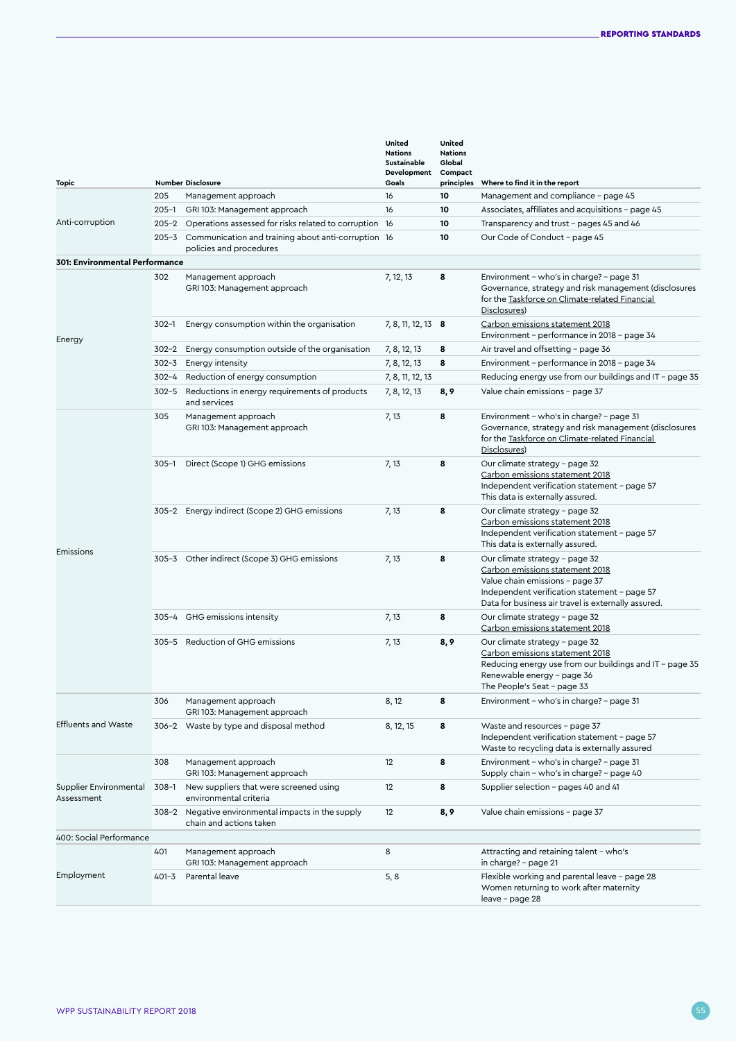|                                       |           |                                                                                              | United<br><b>Nations</b><br>Sustainable<br>Development | United<br><b>Nations</b><br>Global<br>Compact |                                                                                                                                                                                                             |
|---------------------------------------|-----------|----------------------------------------------------------------------------------------------|--------------------------------------------------------|-----------------------------------------------|-------------------------------------------------------------------------------------------------------------------------------------------------------------------------------------------------------------|
| Topic                                 |           | <b>Number Disclosure</b>                                                                     | Goals                                                  |                                               | principles Where to find it in the report                                                                                                                                                                   |
|                                       | 205       | Management approach                                                                          | 16                                                     | 10                                            | Management and compliance - page 45                                                                                                                                                                         |
| Anti-corruption                       | $205 - 1$ | GRI 103: Management approach<br>205-2 Operations assessed for risks related to corruption 16 | 16                                                     | 10<br>10                                      | Associates, affiliates and acquisitions - page 45                                                                                                                                                           |
|                                       |           | 205-3 Communication and training about anti-corruption 16                                    |                                                        | 10                                            | Transparency and trust - pages 45 and 46<br>Our Code of Conduct - page 45                                                                                                                                   |
|                                       |           | policies and procedures                                                                      |                                                        |                                               |                                                                                                                                                                                                             |
| <b>301: Environmental Performance</b> |           |                                                                                              |                                                        |                                               |                                                                                                                                                                                                             |
|                                       | 302       | Management approach<br>GRI 103: Management approach                                          | 7, 12, 13                                              | 8                                             | Environment - who's in charge? - page 31<br>Governance, strategy and risk management (disclosures<br>for the Taskforce on Climate-related Financial<br>Disclosures)                                         |
| Energy                                | $302 - 1$ | Energy consumption within the organisation                                                   | 7, 8, 11, 12, 13 8                                     |                                               | Carbon emissions statement 2018<br>Environment - performance in 2018 - page 34                                                                                                                              |
|                                       |           | 302-2 Energy consumption outside of the organisation                                         | 7, 8, 12, 13                                           | 8                                             | Air travel and offsetting - page 36                                                                                                                                                                         |
|                                       |           | 302-3 Energy intensity                                                                       | 7, 8, 12, 13                                           | 8                                             | Environment - performance in 2018 - page 34                                                                                                                                                                 |
|                                       |           | 302-4 Reduction of energy consumption                                                        | 7, 8, 11, 12, 13                                       |                                               | Reducing energy use from our buildings and IT - page 35                                                                                                                                                     |
|                                       |           | 302-5 Reductions in energy requirements of products<br>and services                          | 7, 8, 12, 13                                           | 8,9                                           | Value chain emissions - page 37                                                                                                                                                                             |
| Emissions                             | 305       | Management approach<br>GRI 103: Management approach                                          | 7, 13                                                  | 8                                             | Environment - who's in charge? - page 31<br>Governance, strategy and risk management (disclosures<br>for the Taskforce on Climate-related Financial<br>Disclosures)                                         |
|                                       | $305 - 1$ | Direct (Scope 1) GHG emissions                                                               | 7, 13                                                  | 8                                             | Our climate strategy - page 32<br>Carbon emissions statement 2018<br>Independent verification statement - page 57<br>This data is externally assured.                                                       |
|                                       |           | 305-2 Energy indirect (Scope 2) GHG emissions                                                | 7, 13                                                  | 8                                             | Our climate strategy – page 32<br>Carbon emissions statement 2018<br>Independent verification statement - page 57<br>This data is externally assured.                                                       |
|                                       |           | 305-3 Other indirect (Scope 3) GHG emissions                                                 | 7, 13                                                  | 8                                             | Our climate strategy - page 32<br>Carbon emissions statement 2018<br>Value chain emissions - page 37<br>Independent verification statement - page 57<br>Data for business air travel is externally assured. |
|                                       |           | 305-4 GHG emissions intensity                                                                | 7, 13                                                  | 8                                             | Our climate strategy - page 32<br>Carbon emissions statement 2018                                                                                                                                           |
|                                       |           | 305-5 Reduction of GHG emissions                                                             | 7, 13                                                  | 8,9                                           | Our climate strategy - page 32<br>Carbon emissions statement 2018<br>Reducing energy use from our buildings and IT - page 35<br>Renewable energy - page 36<br>The People's Seat - page 33                   |
|                                       | 306       | Management approach<br>GRI 103: Management approach                                          | 8, 12                                                  | 8                                             | Environment - who's in charge? - page 31                                                                                                                                                                    |
| <b>Effluents and Waste</b>            |           | 306-2 Waste by type and disposal method                                                      | 8, 12, 15                                              | 8                                             | Waste and resources - page 37<br>Independent verification statement - page 57<br>Waste to recycling data is externally assured                                                                              |
| Supplier Environmental<br>Assessment  | 308       | Management approach<br>GRI 103: Management approach                                          | 12                                                     | 8                                             | Environment - who's in charge? - page 31<br>Supply chain - who's in charge? - page 40                                                                                                                       |
|                                       | $308 - 1$ | New suppliers that were screened using<br>environmental criteria                             | 12                                                     | 8                                             | Supplier selection - pages 40 and 41                                                                                                                                                                        |
|                                       |           | 308-2 Negative environmental impacts in the supply<br>chain and actions taken                | 12                                                     | 8,9                                           | Value chain emissions - page 37                                                                                                                                                                             |
| 400: Social Performance               |           |                                                                                              |                                                        |                                               |                                                                                                                                                                                                             |
|                                       | 401       | Management approach<br>GRI 103: Management approach                                          | 8                                                      |                                               | Attracting and retaining talent - who's<br>in charge? - page 21                                                                                                                                             |
| Employment                            | 401-3     | Parental leave                                                                               | 5, 8                                                   |                                               | Flexible working and parental leave - page 28<br>Women returning to work after maternity<br>leave - page 28                                                                                                 |